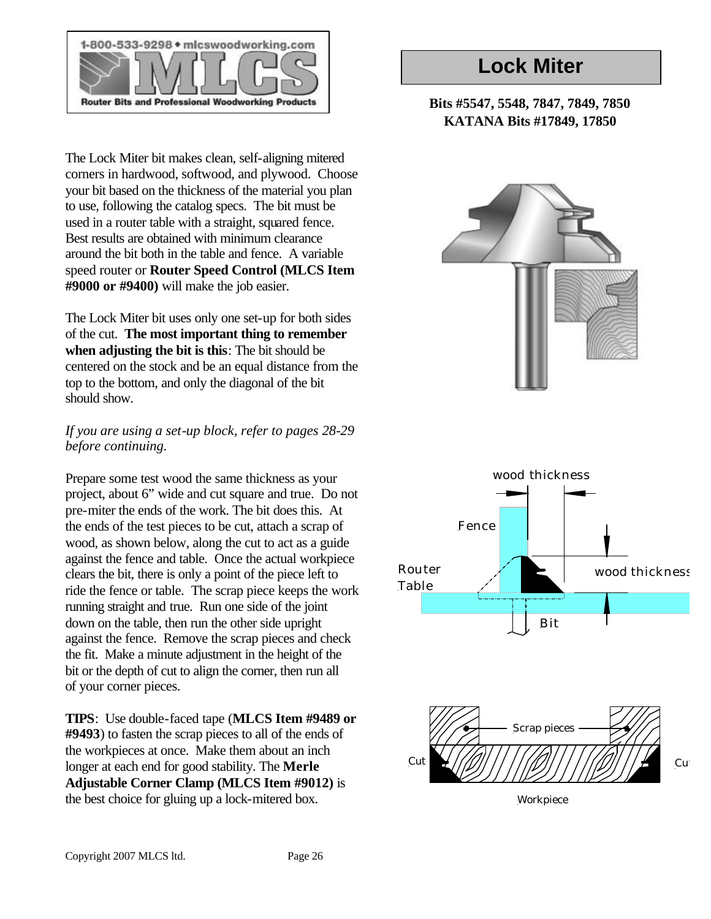

The Lock Miter bit makes clean, self-aligning mitered corners in hardwood, softwood, and plywood. Choose your bit based on the thickness of the material you plan to use, following the catalog specs. The bit must be used in a router table with a straight, squared fence. Best results are obtained with minimum clearance around the bit both in the table and fence. A variable speed router or **Router Speed Control (MLCS Item #9000 or #9400)** will make the job easier.

The Lock Miter bit uses only one set-up for both sides of the cut. **The most important thing to remember when adjusting the bit is this**: The bit should be centered on the stock and be an equal distance from the top to the bottom, and only the diagonal of the bit should show.

#### *If you are using a set-up block, refer to pages 28-29 before continuing.*

Prepare some test wood the same thickness as your project, about 6" wide and cut square and true. Do not pre-miter the ends of the work. The bit does this. At the ends of the test pieces to be cut, attach a scrap of wood, as shown below, along the cut to act as a guide against the fence and table. Once the actual workpiece clears the bit, there is only a point of the piece left to ride the fence or table. The scrap piece keeps the work running straight and true. Run one side of the joint down on the table, then run the other side upright against the fence. Remove the scrap pieces and check the fit. Make a minute adjustment in the height of the bit or the depth of cut to align the corner, then run all of your corner pieces.

**TIPS**: Use double-faced tape (**MLCS Item #9489 or #9493**) to fasten the scrap pieces to all of the ends of the workpieces at once. Make them about an inch longer at each end for good stability. The **Merle Adjustable Corner Clamp (MLCS Item #9012)** is the best choice for gluing up a lock-mitered box.

### **Lock Miter**

### **Bits #5547, 5548, 7847, 7849, 7850 KATANA Bits #17849, 17850**





Workpiece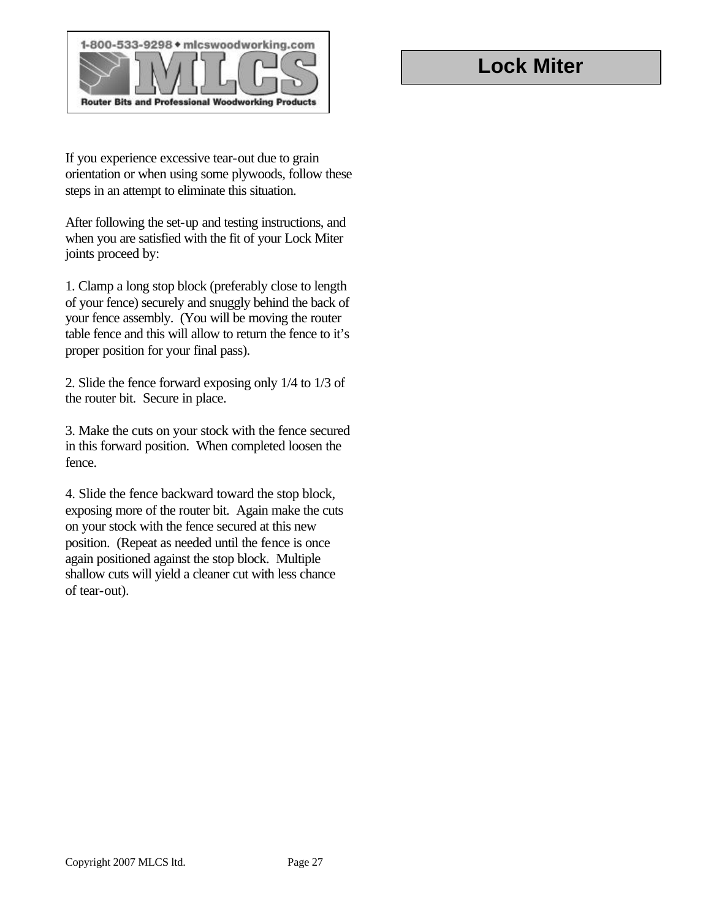

If you experience excessive tear-out due to grain orientation or when using some plywoods, follow these steps in an attempt to eliminate this situation.

After following the set-up and testing instructions, and when you are satisfied with the fit of your Lock Miter joints proceed by:

1. Clamp a long stop block (preferably close to length of your fence) securely and snuggly behind the back of your fence assembly. (You will be moving the router table fence and this will allow to return the fence to it's proper position for your final pass).

2. Slide the fence forward exposing only 1/4 to 1/3 of the router bit. Secure in place.

3. Make the cuts on your stock with the fence secured in this forward position. When completed loosen the fence.

4. Slide the fence backward toward the stop block, exposing more of the router bit. Again make the cuts on your stock with the fence secured at this new position. (Repeat as needed until the fence is once again positioned against the stop block. Multiple shallow cuts will yield a cleaner cut with less chance of tear-out).

### **Lock Miter**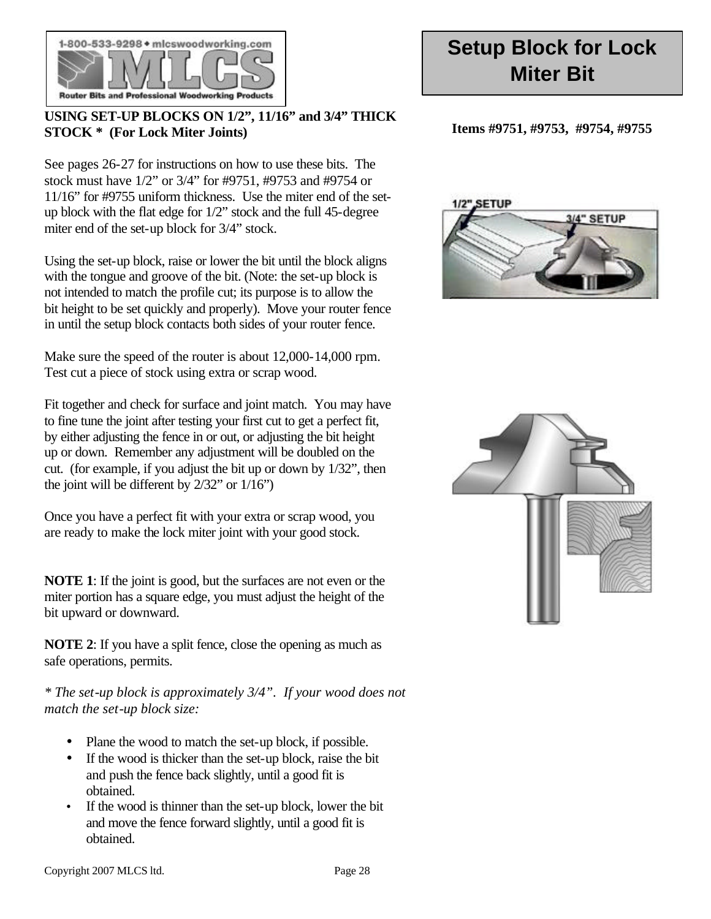

#### **USING SET-UP BLOCKS ON 1/2", 11/16" and 3/4" THICK STOCK \* (For Lock Miter Joints)**

See pages 26-27 for instructions on how to use these bits. The stock must have 1/2" or 3/4" for #9751, #9753 and #9754 or 11/16" for #9755 uniform thickness. Use the miter end of the setup block with the flat edge for 1/2" stock and the full 45-degree miter end of the set-up block for 3/4" stock.

Using the set-up block, raise or lower the bit until the block aligns with the tongue and groove of the bit. (Note: the set-up block is not intended to match the profile cut; its purpose is to allow the bit height to be set quickly and properly). Move your router fence in until the setup block contacts both sides of your router fence.

Make sure the speed of the router is about 12,000-14,000 rpm. Test cut a piece of stock using extra or scrap wood.

Fit together and check for surface and joint match. You may have to fine tune the joint after testing your first cut to get a perfect fit, by either adjusting the fence in or out, or adjusting the bit height up or down. Remember any adjustment will be doubled on the cut. (for example, if you adjust the bit up or down by 1/32", then the joint will be different by  $2/32$ " or  $1/16$ ")

Once you have a perfect fit with your extra or scrap wood, you are ready to make the lock miter joint with your good stock.

**NOTE 1**: If the joint is good, but the surfaces are not even or the miter portion has a square edge, you must adjust the height of the bit upward or downward.

**NOTE 2**: If you have a split fence, close the opening as much as safe operations, permits.

*\* The set-up block is approximately 3/4". If your wood does not match the set-up block size:*

- Plane the wood to match the set-up block, if possible.
- If the wood is thicker than the set-up block, raise the bit and push the fence back slightly, until a good fit is obtained.
- If the wood is thinner than the set-up block, lower the bit and move the fence forward slightly, until a good fit is obtained.

## **Setup Block for Lock Miter Bit**

**Items #9751, #9753, #9754, #9755**